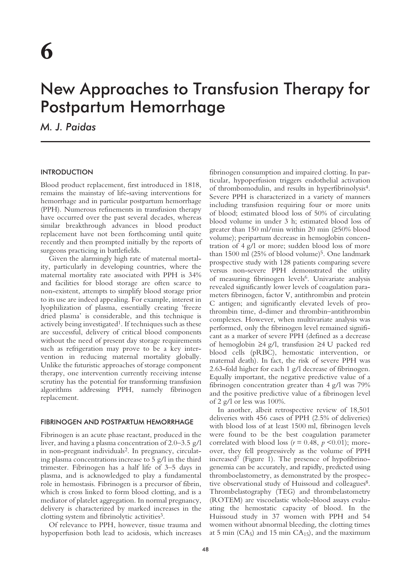# New Approaches to Transfusion Therapy for Postpartum Hemorrhage

*M. J. Paidas*

## INTRODUCTION

Blood product replacement, first introduced in 1818, remains the mainstay of life-saving interventions for hemorrhage and in particular postpartum hemorrhage (PPH). Numerous refinements in transfusion therapy have occurred over the past several decades, whereas similar breakthrough advances in blood product replacement have not been forthcoming until quite recently and then prompted initially by the reports of surgeons practicing in battlefields.

Given the alarmingly high rate of maternal mortality, particularly in developing countries, where the maternal mortality rate associated with PPH is 34% and facilities for blood storage are often scarce to non-existent, attempts to simplify blood storage prior to its use are indeed appealing. For example, interest in lyophilization of plasma, essentially creating 'freeze dried plasma' is considerable, and this technique is actively being investigated<sup>1</sup>. If techniques such as these are successful, delivery of critical blood components without the need of present day storage requirements such as refrigeration may prove to be a key intervention in reducing maternal mortality globally. Unlike the futuristic approaches of storage component therapy, one intervention currently receiving intense scrutiny has the potential for transforming transfusion algorithms addressing PPH, namely fibrinogen replacement.

## FIBRINOGEN AND POSTPARTUM HEMORRHAGE

Fibrinogen is an acute phase reactant, produced in the liver, and having a plasma concentration of 2.0–3.5 g/l in non-pregnant individuals2. In pregnancy, circulating plasma concentrations increase to 5 g/l in the third trimester. Fibrinogen has a half life of 3–5 days in plasma, and is acknowledged to play a fundamental role in hemostasis. Fibrinogen is a precursor of fibrin, which is cross linked to form blood clotting, and is a mediator of platelet aggregation. In normal pregnancy, delivery is characterized by marked increases in the clotting system and fibrinolytic activities<sup>3</sup>.

Of relevance to PPH, however, tissue trauma and hypoperfusion both lead to acidosis, which increases fibrinogen consumption and impaired clotting. In particular, hypoperfusion triggers endothelial activation of thrombomodulin, and results in hyperfibrinolysis4. Severe PPH is characterized in a variety of manners including transfusion requiring four or more units of blood; estimated blood loss of 50% of circulating blood volume in under 3 h; estimated blood loss of greater than 150 ml/min within 20 min (≥50% blood volume); peripartum decrease in hemoglobin concentration of 4 g/l or more; sudden blood loss of more than  $1500$  ml  $(25\%$  of blood volume)<sup>5</sup>. One landmark prospective study with 128 patients comparing severe versus non-severe PPH demonstrated the utility of measuring fibrinogen levels<sup>6</sup>. Univariate analysis revealed significantly lower levels of coagulation parameters fibrinogen, factor V, antithrombin and protein C antigen; and significantly elevated levels of prothrombin time, d-dimer and thrombin–antithrombin complexes. However, when multivariate analysis was performed, only the fibrinogen level remained significant as a marker of severe PPH (defined as a decrease of hemoglobin ≥4 g/l, transfusion ≥4 U packed red blood cells (pRBC), hemostatic intervention, or maternal death). In fact, the risk of severe PPH was 2.63-fold higher for each 1 g/l decrease of fibrinogen. Equally important, the negative predictive value of a fibrinogen concentration greater than 4 g/l was 79% and the positive predictive value of a fibrinogen level of 2 g/l or less was  $100\%$ .

In another, albeit retrospective review of 18,501 deliveries with 456 cases of PPH (2.5% of deliveries) with blood loss of at least 1500 ml, fibrinogen levels were found to be the best coagulation parameter correlated with blood loss ( $r = 0.48$ ,  $p \le 0.01$ ); moreover, they fell progressively as the volume of PPH increased<sup>7</sup> (Figure 1). The presence of hypofibrinogenemia can be accurately, and rapidly, predicted using thromboelastometry, as demonstrated by the prospective observational study of Huissoud and colleagues<sup>8</sup>. Thrombelastography (TEG) and thrombelastometry (ROTEM) are viscoelastic whole-blood assays evaluating the hemostatic capacity of blood. In the Huissoud study in 37 women with PPH and 54 women without abnormal bleeding, the clotting times at 5 min ( $CA<sub>5</sub>$ ) and 15 min  $CA<sub>15</sub>$ ), and the maximum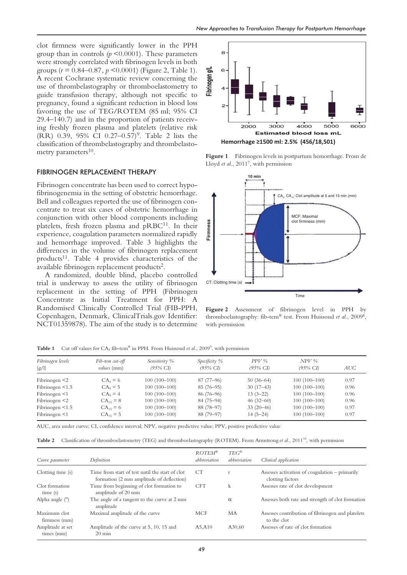clot firmness were significantly lower in the PPH group than in controls  $(p \le 0.0001)$ . These parameters were strongly correlated with fibrinogen levels in both groups (*r* = 0.84–0.87*, p* <0.0001) (Figure 2, Table 1). A recent Cochrane systematic review concerning the use of thrombelastography or thromboelastometry to guide transfusion therapy, although not specific to pregnancy, found a significant reduction in blood loss favoring the use of TEG/ROTEM (85 ml; 95% CI 29.4–140.7) and in the proportion of patients receiving freshly frozen plasma and platelets (relative risk  $(RR)$  0.39, 95% CI 0.27–0.57)<sup>9</sup>. Table 2 lists the classification of thrombelastography and thrombelastometry parameters<sup>10</sup>.

#### FIBRINOGEN REPLACEMENT THERAPY

Fibrinogen concentrate has been used to correct hypofibrinogenemia in the setting of obstetric hemorrhage. Bell and colleagues reported the use of fibrinogen concentrate to treat six cases of obstetric hemorrhage in conjunction with other blood components including platelets, fresh frozen plasma and  $pRBC<sup>11</sup>$ . In their experience, coagulation parameters normalized rapidly and hemorrhage improved. Table 3 highlights the differences in the volume of fibrinogen replacement products<sup>11</sup>. Table 4 provides characteristics of the available fibrinogen replacement products2.

A randomized, double blind, placebo controlled trial is underway to assess the utility of fibrinogen replacement in the setting of PPH (Fibrinogen Concentrate as Initial Treatment for PPH: A Randomised Clinically Controlled Trial (FIB-PPH, Copenhagen, Denmark, ClinicalTrials.gov Identifier: NCT01359878). The aim of the study is to determine



**Figure 1** Fibrinogen levels in postpartum hemorrhage. From de Lloyd *et al*., 20117 , with permission



**Figure 2** Assessment of fibrinogen level in PPH by thromboelastography: fib-tem® test. From Huissoud *et al*., 20098 , with permission

**Table 1** Cut off values for CA<sub>5</sub> fib-tem<sup>®</sup> in PPH. From Huissoud *et al.*, 2009<sup>9</sup>, with permission

| Fibrinogen levels<br>(g/l) | Fib-tem cut-off<br><i>values</i> (mm) | Sensitivity %<br>$(95\% \text{ CI})$ | Specificity $\%$<br>$(95\% \text{ CI})$ | $PPV\%$<br>$(95\% \text{ CI})$ | $NPV\%$<br>$(95\% \text{ CI})$ | AUC  |
|----------------------------|---------------------------------------|--------------------------------------|-----------------------------------------|--------------------------------|--------------------------------|------|
| Fibrinogen $<$ 2           | $CA5 = 6$                             | $100(100-100)$                       | $87(77-96)$                             | $50(36-64)$                    | $100(100-100)$                 | 0.97 |
| Fibrinogen $\leq 1.5$      | $CA5 = 5$                             | $100(100-100)$                       | $85(76-95)$                             | $30(17-43)$                    | $100(100-100)$                 | 0.96 |
| Fibrinogen $\leq 1$        | $CA5 = 4$                             | $100(100-100)$                       | $86(76-96)$                             | $13(3-22)$                     | $100(100-100)$                 | 0.96 |
| Fibrinogen $<$ 2           | $CA_{15} = 8$                         | $100(100-100)$                       | $84(75-94)$                             | $46(32-60)$                    | $100(100-100)$                 | 0.96 |
| Fibrinogen $\leq 1.5$      | $CA_{15} = 6$                         | $100(100-100)$                       | 88 (78-97)                              | $33(20-46)$                    | $100(100-100)$                 | 0.97 |
| Fibrinogen $\leq 1$        | $CA_{15} = 5$                         | $100(100-100)$                       | 88 (79-97)                              | $14(5-24)$                     | $100(100-100)$                 | 0.97 |

AUC, area under curve; CI, confidence interval; NPV, negative predictive value; PPV, positive predictive value

**Table 2** Classification of thromboelastometry (TEG) and thromboelastography (ROTEM). From Armstrong *et al.*, 2011<sup>10</sup>, with permission

| Curve parameter                | Definition                                                                                  | $ROTEM^{\otimes}$<br>abhreviation | $TEG^{\mathbb{B}}$<br>abbreviation | Clinical application                                               |
|--------------------------------|---------------------------------------------------------------------------------------------|-----------------------------------|------------------------------------|--------------------------------------------------------------------|
| Clotting time (s)              | Time from start of test until the start of clot<br>formation (2 mm amplitude of deflection) | <b>CT</b>                         | $\mathbf{r}$                       | Assesses activation of coagulation – primarily<br>clotting factors |
| Clot formation<br>time (s)     | Time from beginning of clot formation to<br>amplitude of 20 mm                              | <b>CFT</b>                        | $\mathbf{k}$                       | Assesses rate of clot development                                  |
| Alpha angle $(°)$              | The angle of a tangent to the curve at 2 mm<br>amplitude                                    |                                   | $\alpha$                           | Assesses both rate and strength of clot formation                  |
| Maximum clot<br>firmness (mm)  | Maximal amplitude of the curve                                                              | <b>MCF</b>                        | МA                                 | Assesses contribution of fibrinogen and platelets<br>to the clot   |
| Amplitude at set<br>times (mm) | Amplitude of the curve at 5, 10, 15 and<br>$20 \text{ min}$                                 | A5.A10                            | A30.60                             | Assesses of rate of clot formation                                 |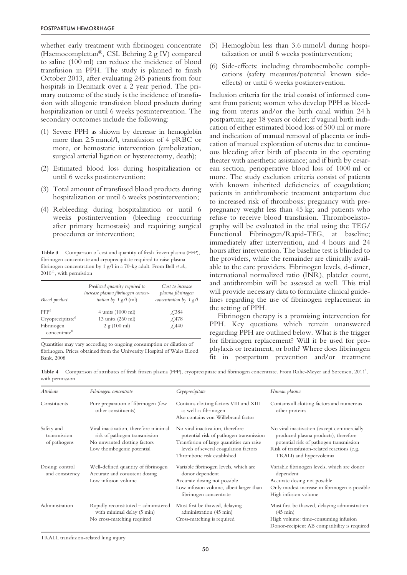whether early treatment with fibrinogen concentrate (Haemocomplettan®, CSL Behring 2 g IV) compared to saline (100 ml) can reduce the incidence of blood transfusion in PPH. The study is planned to finish October 2013, after evaluating 245 patients from four hospitals in Denmark over a 2 year period. The primary outcome of the study is the incidence of transfusion with allogenic transfusion blood products during hospitalization or until 6 weeks postintervention. The secondary outcomes include the following:

- (1) Severe PPH as shiown by decrease in hemoglobin more than 2.5 mmol/l, transfusion of 4 pRBC or more, or hemostatic intervention (embolization, surgical arterial ligation or hysterectomy, death);
- (2) Estimated blood loss during hospitalization or until 6 weeks postintervention;
- (3) Total amount of transfused blood products during hospitalization or until 6 weeks postintervention;
- (4) Rebleeding during hospitalization or until 6 weeks postintervention (bleeding reoccurring after primary hemostasis) and requiring surgical procedures or intervention;

Table 3 Comparison of cost and quantity of fresh frozen plasma (FFP), fibrinogen concentrate and cryoprecipitate required to raise plasma fibrinogen concentration by 1 g/l in a 70-kg adult. From Bell *et al*.,  $2010^{11}$ , with permission

| Blood product                | Predicted quantity required to<br>increase plasma fibrinogen concen-<br><i>tration by 1 g/l</i> (ml) | Cost to increase<br>plasma fibrinogen<br>concentration by $1$ g/l |
|------------------------------|------------------------------------------------------------------------------------------------------|-------------------------------------------------------------------|
| FFP <sup>6</sup>             | $4 \text{ units}$ (1000 ml)                                                                          | £384                                                              |
| Cryoprecipitate <sup>6</sup> | 13 units (260 ml)                                                                                    | £478                                                              |
| Fibrinogen                   | 2 g (100 ml)                                                                                         | $\angle 440$                                                      |
| concentrate <sup>8</sup>     |                                                                                                      |                                                                   |

Quantities may vary according to ongoing consumption or dilution of fibrinogen. Prices obtained from the University Hospital of Wales Blood Bank, 2008

- (5) Hemoglobin less than 3.6 mmol/l during hospitalization or until 6 weeks postintervention;
- (6) Side-effects: including thromboembolic complications (safety measures/potential known sideeffects) or until 6 weeks postintervention.

Inclusion criteria for the trial consist of informed consent from patient; women who develop PPH as bleeding from uterus and/or the birth canal within 24 h postpartum; age 18 years or older; if vaginal birth indication of either estimated blood loss of 500 ml or more and indication of manual removal of placenta or indication of manual exploration of uterus due to continuous bleeding after birth of placenta in the operating theater with anesthetic assistance; and if birth by cesarean section, perioperative blood loss of 1000 ml or more. The study exclusion criteria consist of patients with known inherited deficiencies of coagulation; patients in antithrombotic treatment antepartum due to increased risk of thrombosis; pregnancy with prepregnancy weight less than 45 kg; and patients who refuse to receive blood transfusion. Thromboelastography will be evaluated in the trial using the TEG/ Functional Fibrinogen/Rapid-TEG, at baseline; immediately after intervention, and 4 hours and 24 hours after intervention. The baseline test is blinded to the providers, while the remainder are clinically available to the care providers. Fibrinogen levels, d-dimer, international normalized ratio (INR), platelet count, and antithrombin will be assessed as well. This trial will provide necessary data to formulate clinical guidelines regarding the use of fibrinogen replacement in the setting of PPH.

Fibrinogen therapy is a promising intervention for PPH. Key questions which remain unanswered regarding PPH are outlined below. What is the trigger for fibrinogen replacement? Will it be used for prophylaxis or treatment, or both? Where does fibrinogen fit in postpartum prevention and/or treatment

Table 4 Comparison of attributes of fresh frozen plasma (FFP), cryoprecipitate and fibrinogen concentrate. From Rahe-Meyer and Sørensen, 2011<sup>2</sup>, with permission

| <b>Attribute</b>                           | Fibrinogen concentrate                                                                                                              | Cryoprecipitate                                                                                                                                                                                  | Human plasma                                                                                                                                                                                            |
|--------------------------------------------|-------------------------------------------------------------------------------------------------------------------------------------|--------------------------------------------------------------------------------------------------------------------------------------------------------------------------------------------------|---------------------------------------------------------------------------------------------------------------------------------------------------------------------------------------------------------|
| Constituents                               | Pure preparation of fibrinogen (few<br>other constituents)                                                                          | Contains clotting factors VIII and XIII<br>as well as fibrinogen<br>Also contains von Willebrand factor                                                                                          | Contains all clotting factors and numerous<br>other proteins                                                                                                                                            |
| Safety and<br>transmission<br>of pathogens | Viral inactivation, therefore minimal<br>risk of pathogen transmission<br>No unwanted clotting factors<br>Low thombogenic potential | No viral inactivation, therefore<br>potential risk of pathogen transmission<br>Transfusion of large quantities can raise<br>levels of several coagulation factors<br>Thrombotic risk established | No viral inactivation (except commercially<br>produced plasma products), therefore<br>potential risk of pathogen transmission<br>Risk of transfusion-related reactions (e.g.<br>TRALI) and hypervolemia |
| Dosing: control<br>and consistency         | Well-defined quantity of fibrinogen<br>Accurate and consistent dosing<br>Low infusion volume                                        | Variable fibrinogen levels, which are<br>donor dependent<br>Accurate dosing not possible<br>Low infusion volume, albeit larger than<br>fibrinogen concentrate                                    | Variable fibrinogen levels, which are donor<br>dependent<br>Accurate dosing not possible<br>Only modest increase in fibrinogen is possible<br>High infusion volume                                      |
| Administration                             | Rapidly reconstituted - administered<br>with minimal delay (5 min)<br>No cross-matching required                                    | Must first be thawed, delaying<br>administration (45 min)<br>Cross-matching is required                                                                                                          | Must first be thawed, delaying administration<br>$(45 \text{ min})$<br>High volume: time-consuming infusion<br>Donor-recipient AB compatibility is required                                             |

TRALI, transfusion-related lung injury